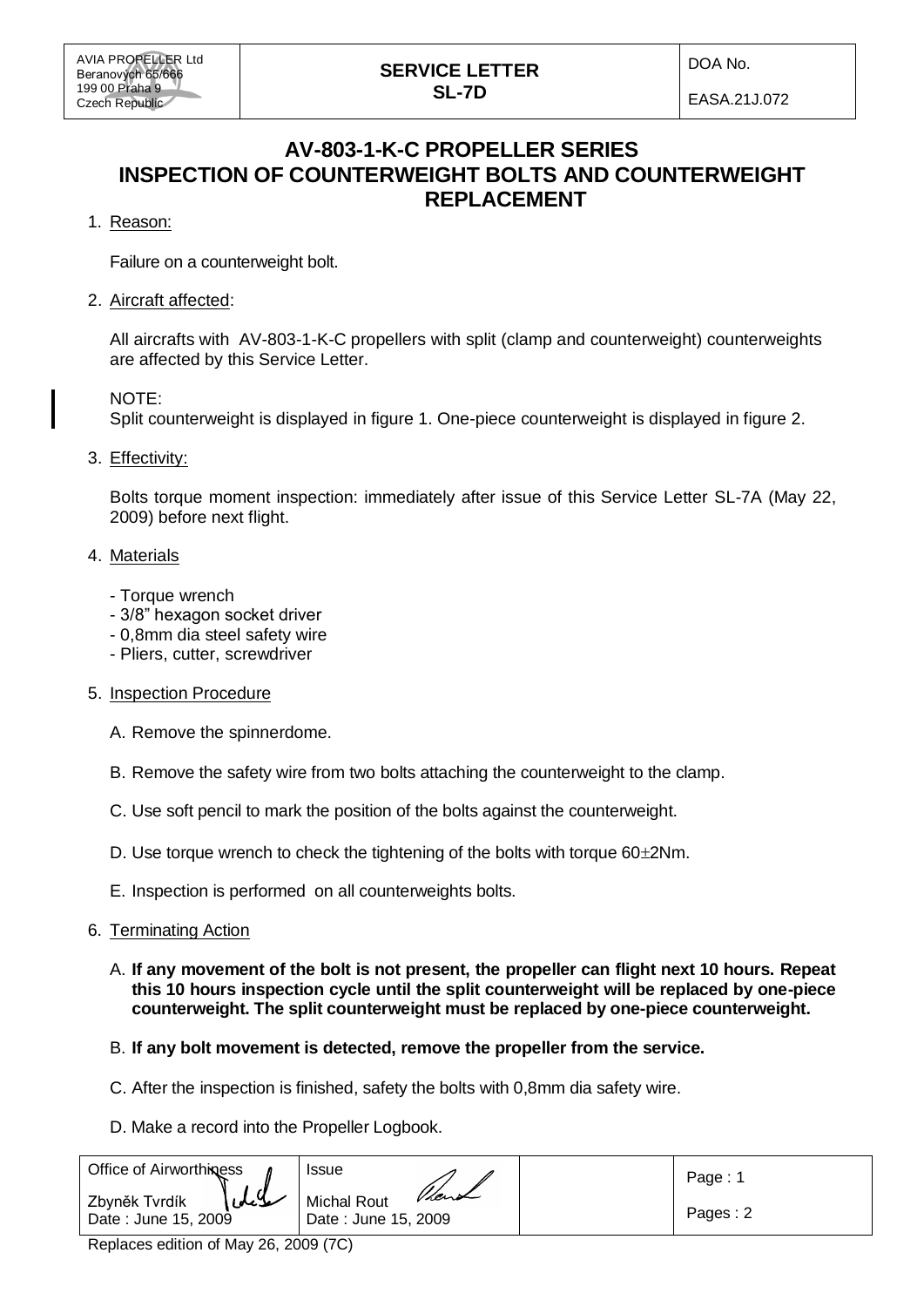## **SERVICE LETTER SL-7D**

DOA No.

EASA.21J.072

# **AV-803-1-K-C PROPELLER SERIES INSPECTION OF COUNTERWEIGHT BOLTS AND COUNTERWEIGHT REPLACEMENT**

1. Reason:

Failure on a counterweight bolt.

2. Aircraft affected:

All aircrafts with AV-803-1-K-C propellers with split (clamp and counterweight) counterweights are affected by this Service Letter.

### NOTE:

Split counterweight is displayed in figure 1. One-piece counterweight is displayed in figure 2.

3. Effectivity:

Bolts torque moment inspection: immediately after issue of this Service Letter SL-7A (May 22, 2009) before next flight.

### 4. Materials

- Torque wrench
- 3/8" hexagon socket driver
- 0,8mm dia steel safety wire
- Pliers, cutter, screwdriver
- 5. Inspection Procedure
	- A. Remove the spinnerdome.
	- B. Remove the safety wire from two bolts attaching the counterweight to the clamp.
	- C. Use soft pencil to mark the position of the bolts against the counterweight.
	- D. Use torque wrench to check the tightening of the bolts with torque  $60\pm2$ Nm.
	- E. Inspection is performed on all counterweights bolts.

#### 6. Terminating Action

- A. **If any movement of the bolt is not present, the propeller can flight next 10 hours. Repeat this 10 hours inspection cycle until the split counterweight will be replaced by one-piece counterweight. The split counterweight must be replaced by one-piece counterweight.**
- B. **If any bolt movement is detected, remove the propeller from the service.**
- C. After the inspection is finished, safety the bolts with 0,8mm dia safety wire.
- D. Make a record into the Propeller Logbook.

| <b>Office of Airworthiness</b>                  | Issue                                       | Page:    |
|-------------------------------------------------|---------------------------------------------|----------|
| سلايكما<br>Zbyněk Tvrdík<br>Date: June 15, 2009 | Vient<br>Michal Rout<br>Date: June 15, 2009 | Pages: 2 |